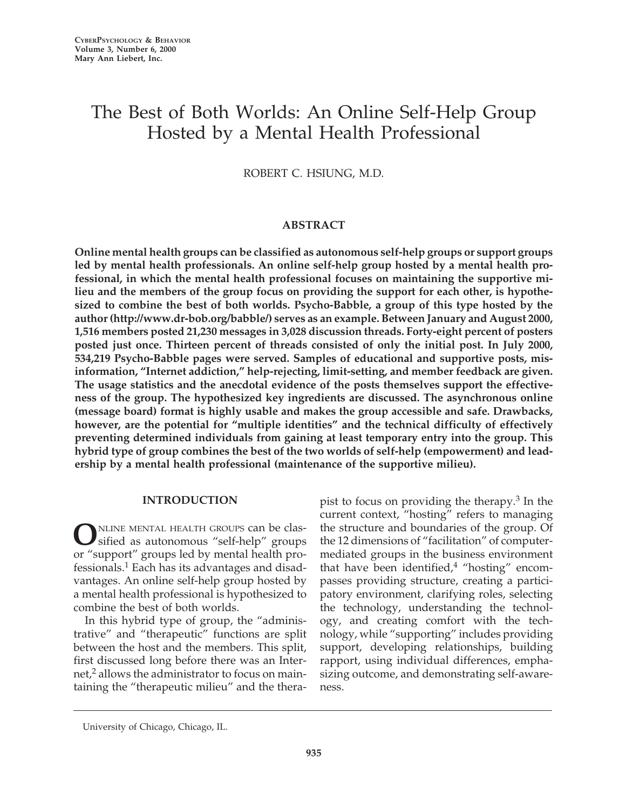# The Best of Both Worlds: An Online Self-Help Group Hosted by a Mental Health Professional

ROBERT C. HSIUNG, M.D.

# **ABSTRACT**

**Online mental health groups can be classified as autonomous self-help groups or support groups led by mental health professionals. An online self-help group hosted by a mental health professional, in which the mental health professional focuses on maintaining the supportive milieu and the members of the group focus on providing the support for each other, is hypothesized to combine the best of both worlds. Psycho-Babble, a group of this type hosted by the author (http://www.dr-bob.org/babble/) serves as an example. Between January and August 2000, 1,516 members posted 21,230 messages in 3,028 discussion threads. Forty-eight percent of posters posted just once. Thirteen percent of threads consisted of only the initial post. In July 2000, 534,219 Psycho-Babble pages were served. Samples of educational and supportive posts, misinformation, "Internet addiction," help-rejecting, limit-setting, and member feedback are given. The usage statistics and the anecdotal evidence of the posts themselves support the effectiveness of the group. The hypothesized key ingredients are discussed. The asynchronous online (message board) format is highly usable and makes the group accessible and safe. Drawbacks, however, are the potential for "multiple identities" and the technical difficulty of effectively preventing determined individuals from gaining at least temporary entry into the group. This hybrid type of group combines the best of the two worlds of self-help (empowerment) and leadership by a mental health professional (maintenance of the supportive milieu).**

# **INTRODUCTION**

NLINE MENTAL HEALTH GROUPS can be classified as autonomous "self-help" groups or "support" groups led by mental health professionals.<sup>1</sup> Each has its advantages and disadvantages. An online self-help group hosted by a mental health professional is hypothesized to combine the best of both worlds.

In this hybrid type of group, the "administrative" and "therapeutic" functions are split between the host and the members. This split, first discussed long before there was an Internet,<sup>2</sup> allows the administrator to focus on maintaining the "therapeutic milieu" and the therapist to focus on providing the therapy.<sup>3</sup> In the current context, "hosting" refers to managing the structure and boundaries of the group. Of the 12 dimensions of "facilitation" of computermediated groups in the business environment that have been identified, $4$  "hosting" encompasses providing structure, creating a participatory environment, clarifying roles, selecting the technology, understanding the technology, and creating comfort with the technology, while "supporting" includes providing support, developing relationships, building rapport, using individual differences, emphasizing outcome, and demonstrating self-awareness.

University of Chicago, Chicago, IL.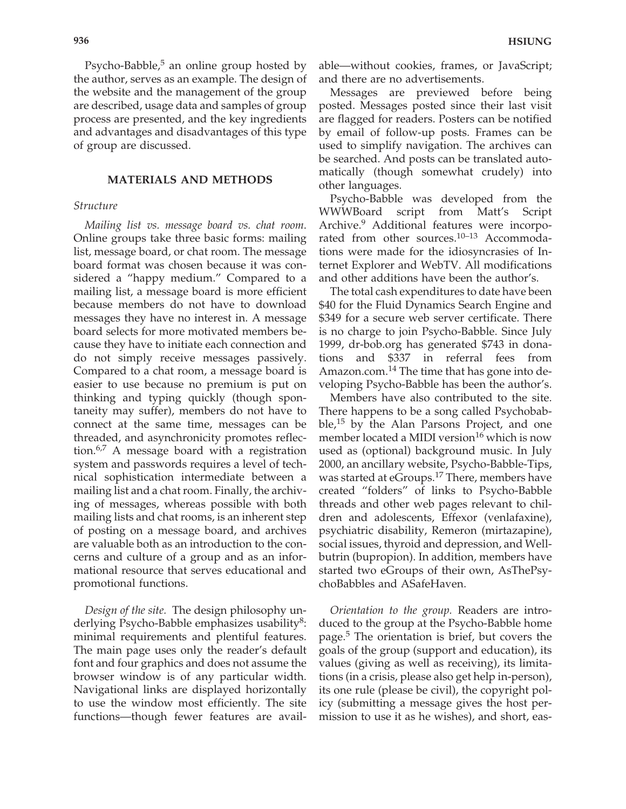Psycho-Babble, $5$  an online group hosted by the author, serves as an example. The design of the website and the management of the group are described, usage data and samples of group process are presented, and the key ingredients and advantages and disadvantages of this type of group are discussed.

# **MATERIALS AND METHODS**

# *Structure*

*Mailing list vs. message board vs. chat room*. Online groups take three basic forms: mailing list, message board, or chat room. The message board format was chosen because it was considered a "happy medium." Compared to a mailing list, a message board is more efficient because members do not have to download messages they have no interest in. A message board selects for more motivated members because they have to initiate each connection and do not simply receive messages passively. Compared to a chat room, a message board is easier to use because no premium is put on thinking and typing quickly (though spontaneity may suffer), members do not have to connect at the same time, messages can be threaded, and asynchronicity promotes reflection. $67$  A message board with a registration system and passwords requires a level of technical sophistication intermediate between a mailing list and a chat room. Finally, the archiving of messages, whereas possible with both mailing lists and chat rooms, is an inherent step of posting on a message board, and archives are valuable both as an introduction to the concerns and culture of a group and as an informational resource that serves educational and promotional functions.

*Design of the site.* The design philosophy underlying Psycho-Babble emphasizes usability<sup>8</sup>: minimal requirements and plentiful features. The main page uses only the reader's default font and four graphics and does not assume the browser window is of any particular width. Navigational links are displayed horizontally to use the window most efficiently. The site functions—though fewer features are available—without cookies, frames, or JavaScript; and there are no advertisements.

Messages are previewed before being posted. Messages posted since their last visit are flagged for readers. Posters can be notified by email of follow-up posts. Frames can be used to simplify navigation. The archives can be searched. And posts can be translated automatically (though somewhat crudely) into other languages.

Psycho-Babble was developed from the WWWBoard script from Matt's Script Archive.<sup>9</sup> Additional features were incorporated from other sources.<sup>10-13</sup> Accommodations were made for the idiosyncrasies of Internet Explorer and WebTV. All modifications and other additions have been the author's.

The total cash expenditures to date have been \$40 for the Fluid Dynamics Search Engine and \$349 for a secure web server certificate. There is no charge to join Psycho-Babble. Since July 1999, dr-bob.org has generated \$743 in donations and \$337 in referral fees from Amazon.com.<sup>14</sup> The time that has gone into developing Psycho-Babble has been the author's.

Members have also contributed to the site. There happens to be a song called Psychobabble,<sup>15</sup> by the Alan Parsons Project, and one member located a MIDI version<sup>16</sup> which is now used as (optional) background music. In July 2000, an ancillary website, Psycho-Babble-Tips, was started at eGroups.<sup>17</sup> There, members have created "folders" of links to Psycho-Babble threads and other web pages relevant to children and adolescents, Effexor (venlafaxine), psychiatric disability, Remeron (mirtazapine), social issues, thyroid and depression, and Wellbutrin (bupropion). In addition, members have started two eGroups of their own, AsThePsychoBabbles and ASafeHaven.

*Orientation to the group.* Readers are introduced to the group at the Psycho-Babble home page.5 The orientation is brief, but covers the goals of the group (support and education), its values (giving as well as receiving), its limitations (in a crisis, please also get help in-person), its one rule (please be civil), the copyright policy (submitting a message gives the host permission to use it as he wishes), and short, eas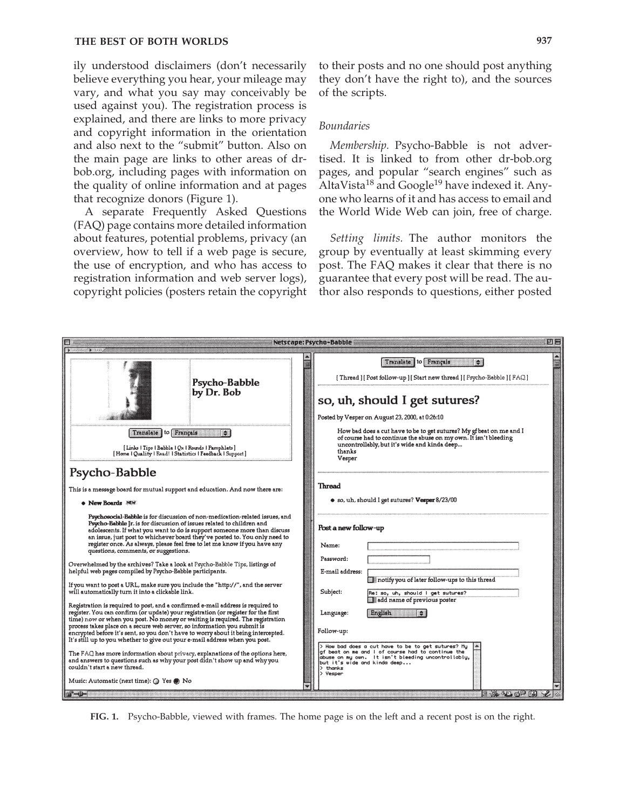ily understood disclaimers (don't necessarily believe everything you hear, your mileage may vary, and what you say may conceivably be used against you). The registration process is explained, and there are links to more privacy and copyright information in the orientation and also next to the "submit" button. Also on the main page are links to other areas of drbob.org, including pages with information on the quality of online information and at pages that recognize donors (Figure 1).

A separate Frequently Asked Questions (FAQ) page contains more detailed information about features, potential problems, privacy (an overview, how to tell if a web page is secure, the use of encryption, and who has access to registration information and web server logs), copyright policies (posters retain the copyright to their posts and no one should post anything they don't have the right to), and the sources of the scripts.

## *Boundaries*

*Membership.* Psycho-Babble is not advertised. It is linked to from other dr-bob.org pages, and popular "search engines" such as AltaVista<sup>18</sup> and Google<sup>19</sup> have indexed it. Anyone who learns of it and has access to email and the World Wide Web can join, free of charge.

*Setting limits.* The author monitors the group by eventually at least skimming every post. The FAQ makes it clear that there is no guarantee that every post will be read. The author also responds to questions, either posted



**FIG. 1.** Psycho-Babble, viewed with frames. The home page is on the left and a recent post is on the right.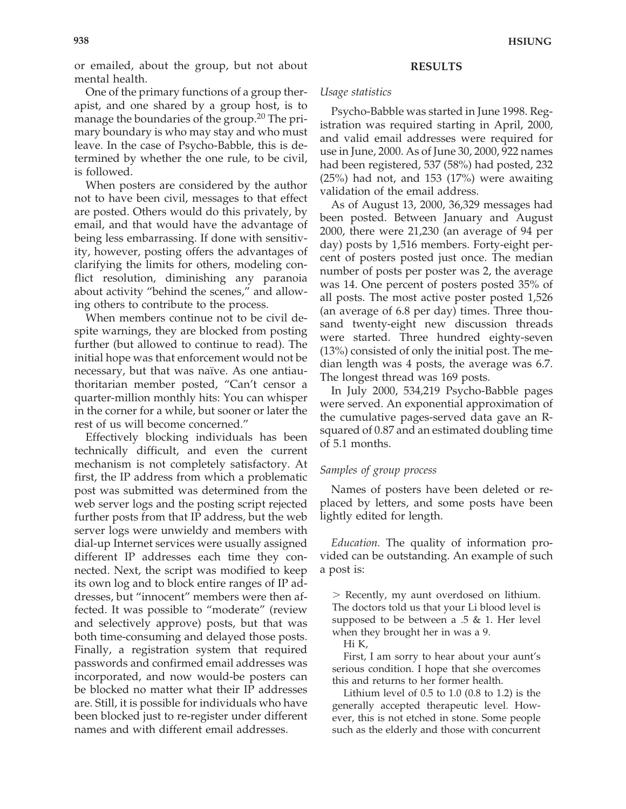or emailed, about the group, but not about mental health.

# One of the primary functions of a group therapist, and one shared by a group host, is to manage the boundaries of the group.<sup>20</sup> The primary boundary is who may stay and who must leave. In the case of Psycho-Babble, this is determined by whether the one rule, to be civil, is followed.

When posters are considered by the author not to have been civil, messages to that effect are posted. Others would do this privately, by email, and that would have the advantage of being less embarrassing. If done with sensitivity, however, posting offers the advantages of clarifying the limits for others, modeling conflict resolution, diminishing any paranoia about activity "behind the scenes," and allowing others to contribute to the process.

When members continue not to be civil despite warnings, they are blocked from posting further (but allowed to continue to read). The initial hope was that enforcement would not be necessary, but that was naïve. As one antiauthoritarian member posted, "Can't censor a quarter-million monthly hits: You can whisper in the corner for a while, but sooner or later the rest of us will become concerned."

Effectively blocking individuals has been technically difficult, and even the current mechanism is not completely satisfactory. At first, the IP address from which a problematic post was submitted was determined from the web server logs and the posting script rejected further posts from that IP address, but the web server logs were unwieldy and members with dial-up Internet services were usually assigned different IP addresses each time they connected. Next, the script was modified to keep its own log and to block entire ranges of IP addresses, but "innocent" members were then affected. It was possible to "moderate" (review and selectively approve) posts, but that was both time-consuming and delayed those posts. Finally, a registration system that required passwords and confirmed email addresses was incorporated, and now would-be posters can be blocked no matter what their IP addresses are. Still, it is possible for individuals who have been blocked just to re-register under different names and with different email addresses.

# **RESULTS**

# *Usage statistics*

Psycho-Babble was started in June 1998. Registration was required starting in April, 2000, and valid email addresses were required for use in June, 2000. As of June 30, 2000, 922 names had been registered, 537 (58%) had posted, 232  $(25%)$  had not, and 153  $(17%)$  were awaiting validation of the email address.

As of August 13, 2000, 36,329 messages had been posted. Between January and August 2000, there were 21,230 (an average of 94 per day) posts by 1,516 members. Forty-eight percent of posters posted just once. The median number of posts per poster was 2, the average was 14. One percent of posters posted 35% of all posts. The most active poster posted 1,526 (an average of 6.8 per day) times. Three thousand twenty-eight new discussion threads were started. Three hundred eighty-seven (13%) consisted of only the initial post. The median length was 4 posts, the average was 6.7. The longest thread was 169 posts.

In July 2000, 534,219 Psycho-Babble pages were served. An exponential approximation of the cumulative pages-served data gave an Rsquared of 0.87 and an estimated doubling time of 5.1 months.

# *Samples of group process*

Names of posters have been deleted or replaced by letters, and some posts have been lightly edited for length.

*Education.* The quality of information provided can be outstanding. An example of such a post is:

- Recently, my aunt overdosed on lithium. The doctors told us that your Li blood level is supposed to be between a .5 & 1. Her level when they brought her in was a 9.

Hi K,

First, I am sorry to hear about your aunt's serious condition. I hope that she overcomes this and returns to her former health.

Lithium level of  $0.5$  to  $1.0$   $(0.8$  to  $1.2)$  is the generally accepted therapeutic level. However, this is not etched in stone. Some people such as the elderly and those with concurrent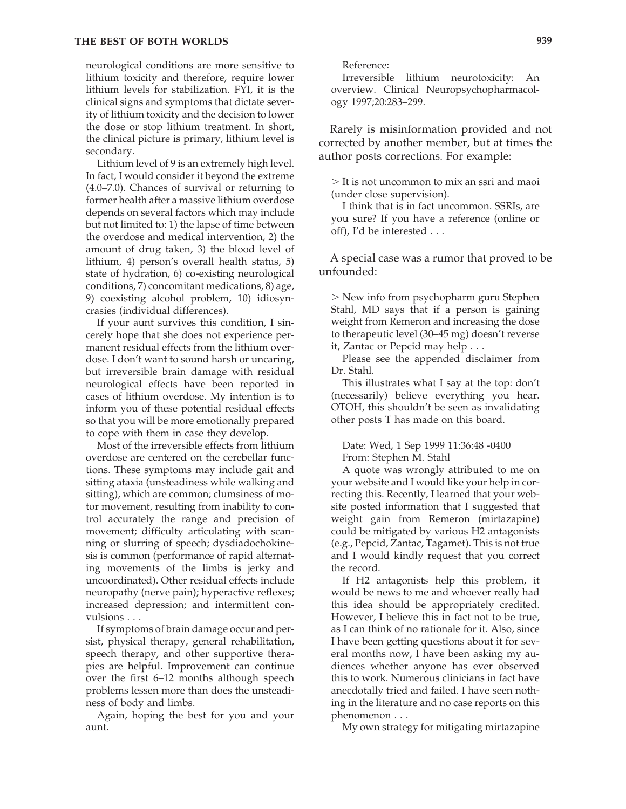neurological conditions are more sensitive to lithium toxicity and therefore, require lower lithium levels for stabilization. FYI, it is the clinical signs and symptoms that dictate severity of lithium toxicity and the decision to lower the dose or stop lithium treatment. In short, the clinical picture is primary, lithium level is secondary.

Lithium level of 9 is an extremely high level. In fact, I would consider it beyond the extreme (4.0–7.0). Chances of survival or returning to former health after a massive lithium overdose depends on several factors which may include but not limited to: 1) the lapse of time between the overdose and medical intervention, 2) the amount of drug taken, 3) the blood level of lithium, 4) person's overall health status, 5) state of hydration, 6) co-existing neurological conditions, 7) concomitant medications, 8) age, 9) coexisting alcohol problem, 10) idiosyncrasies (individual differences).

If your aunt survives this condition, I sincerely hope that she does not experience permanent residual effects from the lithium overdose. I don't want to sound harsh or uncaring, but irreversible brain damage with residual neurological effects have been reported in cases of lithium overdose. My intention is to inform you of these potential residual effects so that you will be more emotionally prepared to cope with them in case they develop.

Most of the irreversible effects from lithium overdose are centered on the cerebellar functions. These symptoms may include gait and sitting ataxia (unsteadiness while walking and sitting), which are common; clumsiness of motor movement, resulting from inability to control accurately the range and precision of movement; difficulty articulating with scanning or slurring of speech; dysdiadochokinesis is common (performance of rapid alternating movements of the limbs is jerky and uncoordinated). Other residual effects include neuropathy (nerve pain); hyperactive reflexes; increased depression; and intermittent convulsions . . .

If symptoms of brain damage occur and persist, physical therapy, general rehabilitation, speech therapy, and other supportive therapies are helpful. Improvement can continue over the first 6–12 months although speech problems lessen more than does the unsteadiness of body and limbs.

Again, hoping the best for you and your aunt.

Reference:

Irreversible lithium neurotoxicity: An overview. Clinical Neuropsychopharmacology 1997;20:283–299.

Rarely is misinformation provided and not corrected by another member, but at times the author posts corrections. For example:

- It is not uncommon to mix an ssri and maoi (under close supervision).

I think that is in fact uncommon. SSRIs, are you sure? If you have a reference (online or off), I'd be interested . . .

A special case was a rumor that proved to be unfounded:

- New info from psychopharm guru Stephen Stahl, MD says that if a person is gaining weight from Remeron and increasing the dose to therapeutic level (30–45 mg) doesn't reverse it, Zantac or Pepcid may help . . .

Please see the appended disclaimer from Dr. Stahl.

This illustrates what I say at the top: don't (necessarily) believe everything you hear. OTOH, this shouldn't be seen as invalidating other posts T has made on this board.

Date: Wed, 1 Sep 1999 11:36:48 -0400 From: Stephen M. Stahl

A quote was wrongly attributed to me on your website and I would like your help in correcting this. Recently, I learned that your website posted information that I suggested that weight gain from Remeron (mirtazapine) could be mitigated by various H2 antagonists (e.g., Pepcid, Zantac, Tagamet). This is not true and I would kindly request that you correct the record.

If H2 antagonists help this problem, it would be news to me and whoever really had this idea should be appropriately credited. However, I believe this in fact not to be true, as I can think of no rationale for it. Also, since I have been getting questions about it for several months now, I have been asking my audiences whether anyone has ever observed this to work. Numerous clinicians in fact have anecdotally tried and failed. I have seen nothing in the literature and no case reports on this phenomenon . . .

My own strategy for mitigating mirtazapine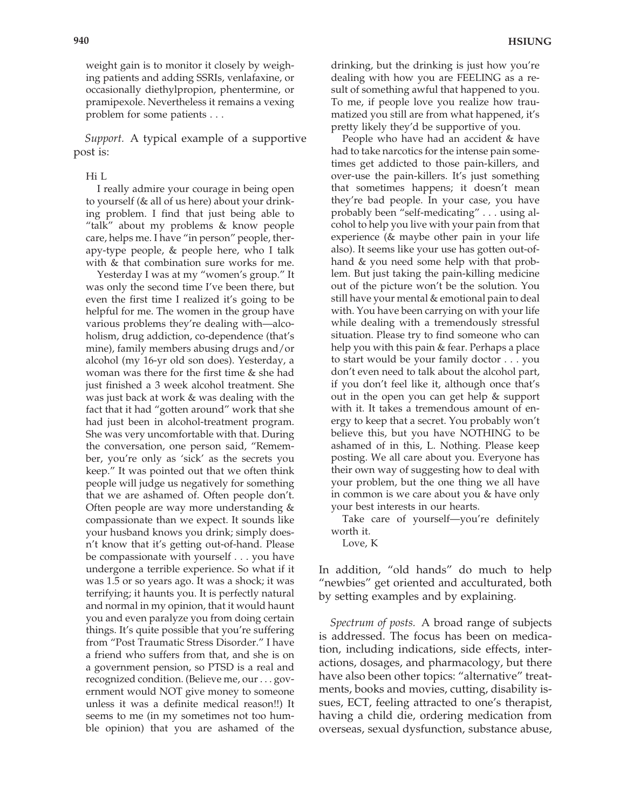weight gain is to monitor it closely by weighing patients and adding SSRIs, venlafaxine, or occasionally diethylpropion, phentermine, or pramipexole. Nevertheless it remains a vexing problem for some patients . . .

*Support.* A typical example of a supportive post is:

## Hi L

I really admire your courage in being open to yourself (& all of us here) about your drinking problem. I find that just being able to "talk" about my problems & know people care, helps me. I have "in person" people, therapy-type people, & people here, who I talk with & that combination sure works for me.

Yesterday I was at my "women's group." It was only the second time I've been there, but even the first time I realized it's going to be helpful for me. The women in the group have various problems they're dealing with—alcoholism, drug addiction, co-dependence (that's mine), family members abusing drugs and/or alcohol (my 16-yr old son does). Yesterday, a woman was there for the first time & she had just finished a 3 week alcohol treatment. She was just back at work & was dealing with the fact that it had "gotten around" work that she had just been in alcohol-treatment program. She was very uncomfortable with that. During the conversation, one person said, "Remember, you're only as 'sick' as the secrets you keep." It was pointed out that we often think people will judge us negatively for something that we are ashamed of. Often people don't. Often people are way more understanding & compassionate than we expect. It sounds like your husband knows you drink; simply doesn't know that it's getting out-of-hand. Please be compassionate with yourself . . . you have undergone a terrible experience. So what if it was 1.5 or so years ago. It was a shock; it was terrifying; it haunts you. It is perfectly natural and normal in my opinion, that it would haunt you and even paralyze you from doing certain things. It's quite possible that you're suffering from "Post Traumatic Stress Disorder." I have a friend who suffers from that, and she is on a government pension, so PTSD is a real and recognized condition. (Believe me, our . . . government would NOT give money to someone unless it was a definite medical reason!!) It seems to me (in my sometimes not too humble opinion) that you are ashamed of the

drinking, but the drinking is just how you're dealing with how you are FEELING as a result of something awful that happened to you. To me, if people love you realize how traumatized you still are from what happened, it's pretty likely they'd be supportive of you.

People who have had an accident & have had to take narcotics for the intense pain sometimes get addicted to those pain-killers, and over-use the pain-killers. It's just something that sometimes happens; it doesn't mean they're bad people. In your case, you have probably been "self-medicating" . . . using alcohol to help you live with your pain from that experience (& maybe other pain in your life also). It seems like your use has gotten out-ofhand & you need some help with that problem. But just taking the pain-killing medicine out of the picture won't be the solution. You still have your mental & emotional pain to deal with. You have been carrying on with your life while dealing with a tremendously stressful situation. Please try to find someone who can help you with this pain & fear. Perhaps a place to start would be your family doctor . . . you don't even need to talk about the alcohol part, if you don't feel like it, although once that's out in the open you can get help & support with it. It takes a tremendous amount of energy to keep that a secret. You probably won't believe this, but you have NOTHING to be ashamed of in this, L. Nothing. Please keep posting. We all care about you. Everyone has their own way of suggesting how to deal with your problem, but the one thing we all have in common is we care about you & have only your best interests in our hearts.

Take care of yourself—you're definitely worth it.

Love, K

In addition, "old hands" do much to help "newbies" get oriented and acculturated, both by setting examples and by explaining.

*Spectrum of posts.* A broad range of subjects is addressed. The focus has been on medication, including indications, side effects, interactions, dosages, and pharmacology, but there have also been other topics: "alternative" treatments, books and movies, cutting, disability issues, ECT, feeling attracted to one's therapist, having a child die, ordering medication from overseas, sexual dysfunction, substance abuse,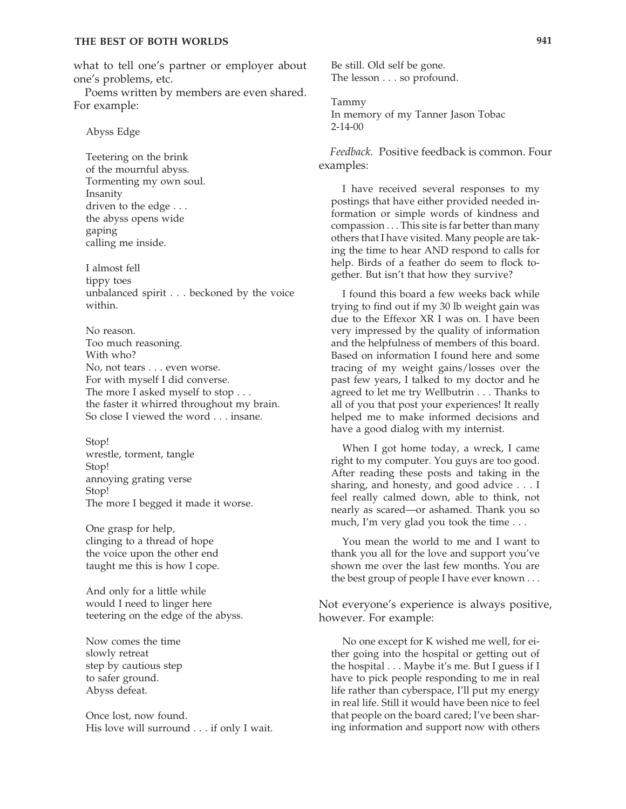what to tell one's partner or employer about one's problems, etc.

Poems written by members are even shared. For example:

Abyss Edge

Teetering on the brink of the mournful abyss. Tormenting my own soul. Insanity driven to the edge . . . the abyss opens wide gaping calling me inside.

I almost fell tippy toes unbalanced spirit . . . beckoned by the voice within.

No reason. Too much reasoning. With who? No, not tears . . . even worse. For with myself I did converse. The more I asked myself to stop . . . the faster it whirred throughout my brain. So close I viewed the word . . . insane.

Stop! wrestle, torment, tangle Stop! annoying grating verse Stop! The more I begged it made it worse.

One grasp for help, clinging to a thread of hope the voice upon the other end taught me this is how I cope.

And only for a little while would I need to linger here teetering on the edge of the abyss.

Now comes the time slowly retreat step by cautious step to safer ground. Abyss defeat.

Once lost, now found. His love will surround . . . if only I wait. Be still. Old self be gone. The lesson . . . so profound.

Tammy In memory of my Tanner Jason Tobac 2-14-00

*Feedback.* Positive feedback is common. Four examples:

I have received several responses to my postings that have either provided needed information or simple words of kindness and compassion . . . This site is far better than many others that I have visited. Many people are taking the time to hear AND respond to calls for help. Birds of a feather do seem to flock together. But isn't that how they survive?

I found this board a few weeks back while trying to find out if my 30 lb weight gain was due to the Effexor XR I was on. I have been very impressed by the quality of information and the helpfulness of members of this board. Based on information I found here and some tracing of my weight gains/losses over the past few years, I talked to my doctor and he agreed to let me try Wellbutrin . . . Thanks to all of you that post your experiences! It really helped me to make informed decisions and have a good dialog with my internist.

When I got home today, a wreck, I came right to my computer. You guys are too good. After reading these posts and taking in the sharing, and honesty, and good advice . . . I feel really calmed down, able to think, not nearly as scared—or ashamed. Thank you so much, I'm very glad you took the time . . .

You mean the world to me and I want to thank you all for the love and support you've shown me over the last few months. You are the best group of people I have ever known . . .

Not everyone's experience is always positive, however. For example:

No one except for K wished me well, for either going into the hospital or getting out of the hospital . . . Maybe it's me. But I guess if I have to pick people responding to me in real life rather than cyberspace, I'll put my energy in real life. Still it would have been nice to feel that people on the board cared; I've been sharing information and support now with others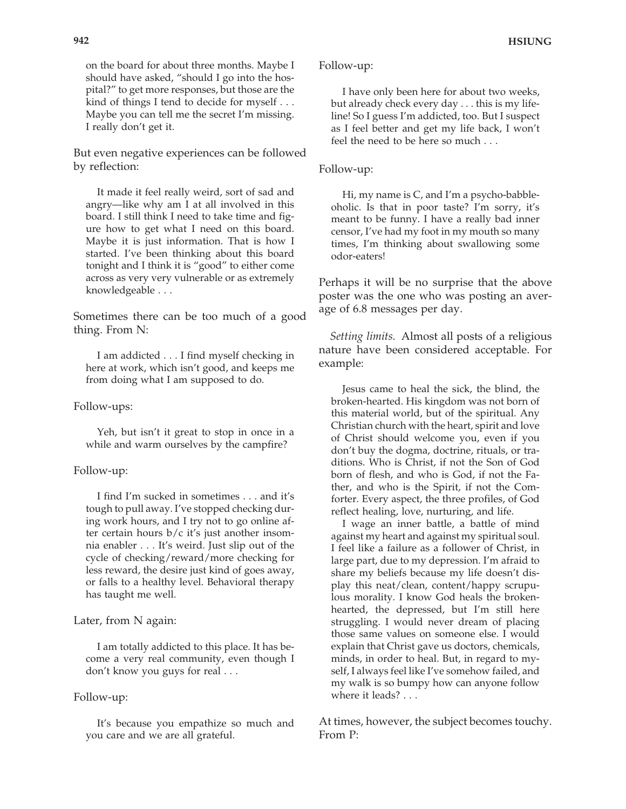on the board for about three months. Maybe I should have asked, "should I go into the hospital?" to get more responses, but those are the kind of things I tend to decide for myself . . . Maybe you can tell me the secret I'm missing. I really don't get it.

But even negative experiences can be followed by reflection:

It made it feel really weird, sort of sad and angry—like why am I at all involved in this board. I still think I need to take time and figure how to get what I need on this board. Maybe it is just information. That is how I started. I've been thinking about this board tonight and I think it is "good" to either come across as very very vulnerable or as extremely knowledgeable . . .

Sometimes there can be too much of a good thing. From N:

I am addicted . . . I find myself checking in here at work, which isn't good, and keeps me from doing what I am supposed to do.

# Follow-ups:

Yeh, but isn't it great to stop in once in a while and warm ourselves by the campfire?

# Follow-up:

I find I'm sucked in sometimes . . . and it's tough to pull away. I've stopped checking during work hours, and I try not to go online after certain hours b/c it's just another insomnia enabler . . . It's weird. Just slip out of the cycle of checking/reward/more checking for less reward, the desire just kind of goes away, or falls to a healthy level. Behavioral therapy has taught me well.

# Later, from N again:

I am totally addicted to this place. It has become a very real community, even though I don't know you guys for real . . .

# Follow-up:

It's because you empathize so much and you care and we are all grateful.

# Follow-up:

I have only been here for about two weeks, but already check every day . . . this is my lifeline! So I guess I'm addicted, too. But I suspect as I feel better and get my life back, I won't feel the need to be here so much . . .

## Follow-up:

Hi, my name is C, and I'm a psycho-babbleoholic. Is that in poor taste? I'm sorry, it's meant to be funny. I have a really bad inner censor, I've had my foot in my mouth so many times, I'm thinking about swallowing some odor-eaters!

Perhaps it will be no surprise that the above poster was the one who was posting an average of 6.8 messages per day.

*Setting limits.* Almost all posts of a religious nature have been considered acceptable. For example:

Jesus came to heal the sick, the blind, the broken-hearted. His kingdom was not born of this material world, but of the spiritual. Any Christian church with the heart, spirit and love of Christ should welcome you, even if you don't buy the dogma, doctrine, rituals, or traditions. Who is Christ, if not the Son of God born of flesh, and who is God, if not the Father, and who is the Spirit, if not the Comforter. Every aspect, the three profiles, of God reflect healing, love, nurturing, and life.

I wage an inner battle, a battle of mind against my heart and against my spiritual soul. I feel like a failure as a follower of Christ, in large part, due to my depression. I'm afraid to share my beliefs because my life doesn't display this neat/clean, content/happy scrupulous morality. I know God heals the brokenhearted, the depressed, but I'm still here struggling. I would never dream of placing those same values on someone else. I would explain that Christ gave us doctors, chemicals, minds, in order to heal. But, in regard to myself, I always feel like I've somehow failed, and my walk is so bumpy how can anyone follow where it leads? . . .

At times, however, the subject becomes touchy. From P: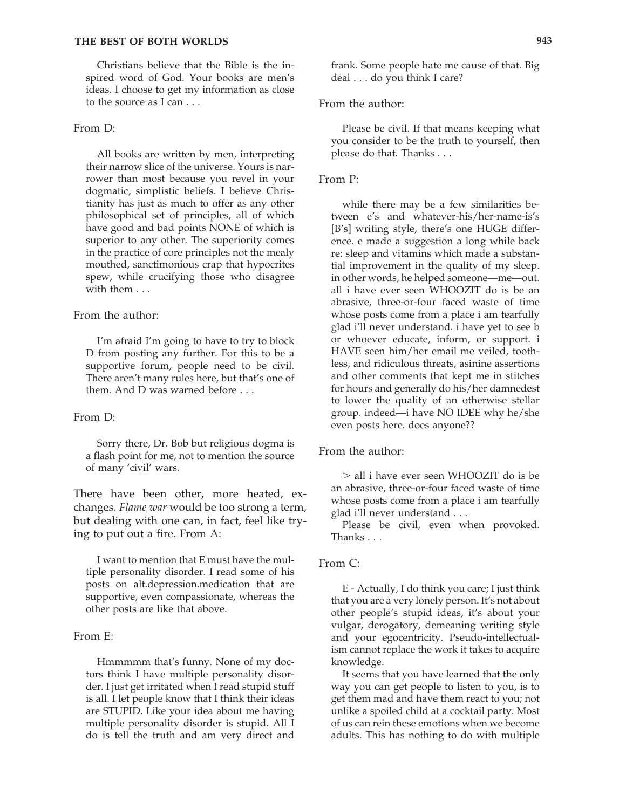Christians believe that the Bible is the inspired word of God. Your books are men's ideas. I choose to get my information as close to the source as I can . . .

# From D:

All books are written by men, interpreting their narrow slice of the universe. Yours is narrower than most because you revel in your dogmatic, simplistic beliefs. I believe Christianity has just as much to offer as any other philosophical set of principles, all of which have good and bad points NONE of which is superior to any other. The superiority comes in the practice of core principles not the mealy mouthed, sanctimonious crap that hypocrites spew, while crucifying those who disagree with them . . .

# From the author:

I'm afraid I'm going to have to try to block D from posting any further. For this to be a supportive forum, people need to be civil. There aren't many rules here, but that's one of them. And D was warned before . . .

#### From D:

Sorry there, Dr. Bob but religious dogma is a flash point for me, not to mention the source of many 'civil' wars.

There have been other, more heated, exchanges. *Flame war* would be too strong a term, but dealing with one can, in fact, feel like trying to put out a fire. From A:

I want to mention that E must have the multiple personality disorder. I read some of his posts on alt.depression.medication that are supportive, even compassionate, whereas the other posts are like that above.

#### From E:

Hmmmmm that's funny. None of my doctors think I have multiple personality disorder. I just get irritated when I read stupid stuff is all. I let people know that I think their ideas are STUPID. Like your idea about me having multiple personality disorder is stupid. All I do is tell the truth and am very direct and

frank. Some people hate me cause of that. Big deal . . . do you think I care?

# From the author:

Please be civil. If that means keeping what you consider to be the truth to yourself, then please do that. Thanks . . .

# From P:

while there may be a few similarities between e's and whatever-his/her-name-is's [B's] writing style, there's one HUGE difference. e made a suggestion a long while back re: sleep and vitamins which made a substantial improvement in the quality of my sleep. in other words, he helped someone—me—out. all i have ever seen WHOOZIT do is be an abrasive, three-or-four faced waste of time whose posts come from a place i am tearfully glad i'll never understand. i have yet to see b or whoever educate, inform, or support. i HAVE seen him/her email me veiled, toothless, and ridiculous threats, asinine assertions and other comments that kept me in stitches for hours and generally do his/her damnedest to lower the quality of an otherwise stellar group. indeed—i have NO IDEE why he/she even posts here. does anyone??

From the author:

- all i have ever seen WHOOZIT do is be an abrasive, three-or-four faced waste of time whose posts come from a place i am tearfully glad i'll never understand . . .

Please be civil, even when provoked. Thanks . . .

# From C:

E - Actually, I do think you care; I just think that you are a very lonely person. It's not about other people's stupid ideas, it's about your vulgar, derogatory, demeaning writing style and your egocentricity. Pseudo-intellectualism cannot replace the work it takes to acquire knowledge.

It seems that you have learned that the only way you can get people to listen to you, is to get them mad and have them react to you; not unlike a spoiled child at a cocktail party. Most of us can rein these emotions when we become adults. This has nothing to do with multiple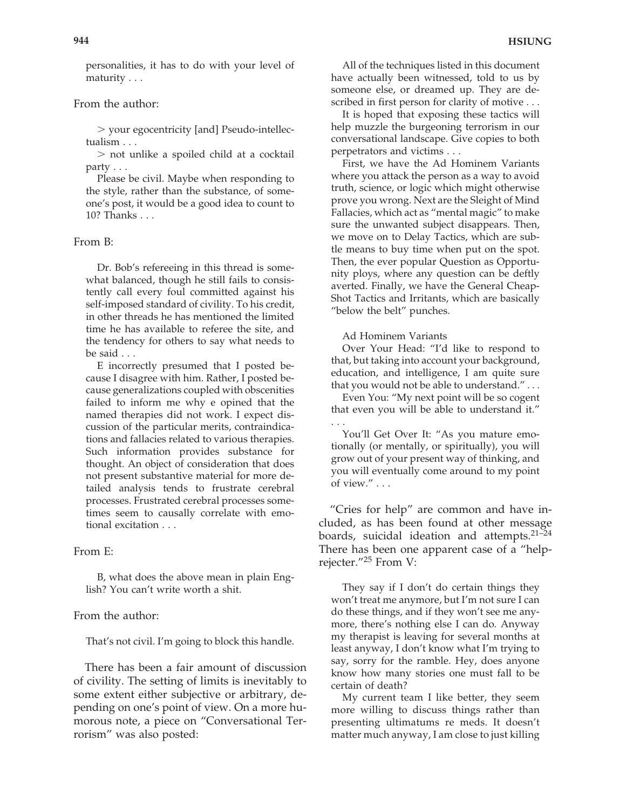personalities, it has to do with your level of maturity . . .

# From the author:

- your egocentricity [and] Pseudo-intellectualism . . .

- not unlike a spoiled child at a cocktail party . . .

Please be civil. Maybe when responding to the style, rather than the substance, of someone's post, it would be a good idea to count to 10? Thanks . . .

# From B:

Dr. Bob's refereeing in this thread is somewhat balanced, though he still fails to consistently call every foul committed against his self-imposed standard of civility. To his credit, in other threads he has mentioned the limited time he has available to referee the site, and the tendency for others to say what needs to be said . . .

E incorrectly presumed that I posted because I disagree with him. Rather, I posted because generalizations coupled with obscenities failed to inform me why e opined that the named therapies did not work. I expect discussion of the particular merits, contraindications and fallacies related to various therapies. Such information provides substance for thought. An object of consideration that does not present substantive material for more detailed analysis tends to frustrate cerebral processes. Frustrated cerebral processes sometimes seem to causally correlate with emotional excitation . . .

# From E:

B, what does the above mean in plain English? You can't write worth a shit.

## From the author:

That's not civil. I'm going to block this handle.

There has been a fair amount of discussion of civility. The setting of limits is inevitably to some extent either subjective or arbitrary, depending on one's point of view. On a more humorous note, a piece on "Conversational Terrorism" was also posted:

All of the techniques listed in this document have actually been witnessed, told to us by someone else, or dreamed up. They are described in first person for clarity of motive . . .

It is hoped that exposing these tactics will help muzzle the burgeoning terrorism in our conversational landscape. Give copies to both perpetrators and victims . . .

First, we have the Ad Hominem Variants where you attack the person as a way to avoid truth, science, or logic which might otherwise prove you wrong. Next are the Sleight of Mind Fallacies, which act as "mental magic" to make sure the unwanted subject disappears. Then, we move on to Delay Tactics, which are subtle means to buy time when put on the spot. Then, the ever popular Question as Opportunity ploys, where any question can be deftly averted. Finally, we have the General Cheap-Shot Tactics and Irritants, which are basically "below the belt" punches.

Ad Hominem Variants

Over Your Head: "I'd like to respond to that, but taking into account your background, education, and intelligence, I am quite sure that you would not be able to understand." . . .

Even You: "My next point will be so cogent that even you will be able to understand it." . . .

You'll Get Over It: "As you mature emotionally (or mentally, or spiritually), you will grow out of your present way of thinking, and you will eventually come around to my point of view." . . .

"Cries for help" are common and have included, as has been found at other message boards, suicidal ideation and attempts.<sup>21-24</sup> There has been one apparent case of a "helprejecter."<sup>25</sup> From V:

They say if I don't do certain things they won't treat me anymore, but I'm not sure I can do these things, and if they won't see me anymore, there's nothing else I can do. Anyway my therapist is leaving for several months at least anyway, I don't know what I'm trying to say, sorry for the ramble. Hey, does anyone know how many stories one must fall to be certain of death?

My current team I like better, they seem more willing to discuss things rather than presenting ultimatums re meds. It doesn't matter much anyway, I am close to just killing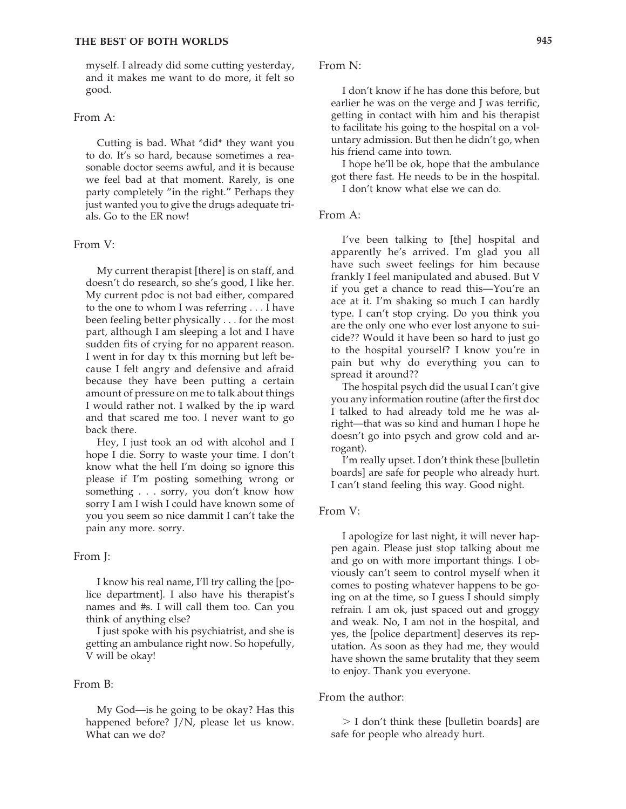myself. I already did some cutting yesterday, and it makes me want to do more, it felt so good.

## From A:

Cutting is bad. What \*did\* they want you to do. It's so hard, because sometimes a reasonable doctor seems awful, and it is because we feel bad at that moment. Rarely, is one party completely "in the right." Perhaps they just wanted you to give the drugs adequate trials. Go to the ER now!

# From V:

My current therapist [there] is on staff, and doesn't do research, so she's good, I like her. My current pdoc is not bad either, compared to the one to whom I was referring . . . I have been feeling better physically . . . for the most part, although I am sleeping a lot and I have sudden fits of crying for no apparent reason. I went in for day tx this morning but left because I felt angry and defensive and afraid because they have been putting a certain amount of pressure on me to talk about things I would rather not. I walked by the ip ward and that scared me too. I never want to go back there.

Hey, I just took an od with alcohol and I hope I die. Sorry to waste your time. I don't know what the hell I'm doing so ignore this please if I'm posting something wrong or something . . . sorry, you don't know how sorry I am I wish I could have known some of you you seem so nice dammit I can't take the pain any more. sorry.

## From J:

I know his real name, I'll try calling the [police department]. I also have his therapist's names and #s. I will call them too. Can you think of anything else?

I just spoke with his psychiatrist, and she is getting an ambulance right now. So hopefully, V will be okay!

## From B:

My God—is he going to be okay? Has this happened before? J/N, please let us know. What can we do?

# From N:

I don't know if he has done this before, but earlier he was on the verge and J was terrific, getting in contact with him and his therapist to facilitate his going to the hospital on a voluntary admission. But then he didn't go, when his friend came into town.

I hope he'll be ok, hope that the ambulance got there fast. He needs to be in the hospital.

I don't know what else we can do.

#### From A:

I've been talking to [the] hospital and apparently he's arrived. I'm glad you all have such sweet feelings for him because frankly I feel manipulated and abused. But V if you get a chance to read this—You're an ace at it. I'm shaking so much I can hardly type. I can't stop crying. Do you think you are the only one who ever lost anyone to suicide?? Would it have been so hard to just go to the hospital yourself? I know you're in pain but why do everything you can to spread it around??

The hospital psych did the usual I can't give you any information routine (after the first doc I talked to had already told me he was alright—that was so kind and human I hope he doesn't go into psych and grow cold and arrogant).

I'm really upset. I don't think these [bulletin boards] are safe for people who already hurt. I can't stand feeling this way. Good night.

# From V:

I apologize for last night, it will never happen again. Please just stop talking about me and go on with more important things. I obviously can't seem to control myself when it comes to posting whatever happens to be going on at the time, so I guess I should simply refrain. I am ok, just spaced out and groggy and weak. No, I am not in the hospital, and yes, the [police department] deserves its reputation. As soon as they had me, they would have shown the same brutality that they seem to enjoy. Thank you everyone.

# From the author:

- I don't think these [bulletin boards] are safe for people who already hurt.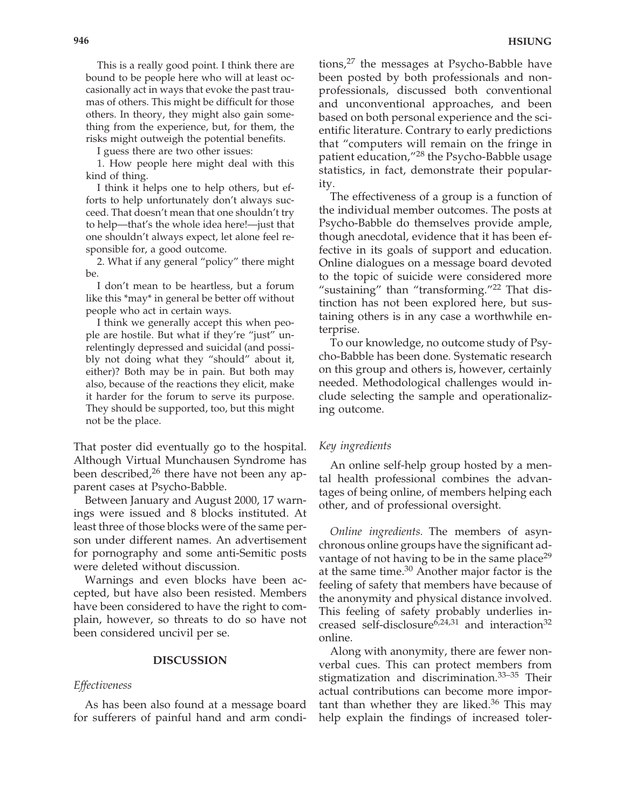This is a really good point. I think there are bound to be people here who will at least occasionally act in ways that evoke the past traumas of others. This might be difficult for those others. In theory, they might also gain something from the experience, but, for them, the risks might outweigh the potential benefits.

I guess there are two other issues:

1. How people here might deal with this kind of thing.

I think it helps one to help others, but efforts to help unfortunately don't always succeed. That doesn't mean that one shouldn't try to help—that's the whole idea here!—just that one shouldn't always expect, let alone feel responsible for, a good outcome.

2. What if any general "policy" there might be.

I don't mean to be heartless, but a forum like this \*may\* in general be better off without people who act in certain ways.

I think we generally accept this when people are hostile. But what if they're "just" unrelentingly depressed and suicidal (and possibly not doing what they "should" about it, either)? Both may be in pain. But both may also, because of the reactions they elicit, make it harder for the forum to serve its purpose. They should be supported, too, but this might not be the place.

That poster did eventually go to the hospital. Although Virtual Munchausen Syndrome has been described,<sup>26</sup> there have not been any apparent cases at Psycho-Babble.

Between January and August 2000, 17 warnings were issued and 8 blocks instituted. At least three of those blocks were of the same person under different names. An advertisement for pornography and some anti-Semitic posts were deleted without discussion.

Warnings and even blocks have been accepted, but have also been resisted. Members have been considered to have the right to complain, however, so threats to do so have not been considered uncivil per se.

# **DISCUSSION**

# *Effectiveness*

As has been also found at a message board for sufferers of painful hand and arm condi-

tions, $27$  the messages at Psycho-Babble have been posted by both professionals and nonprofessionals, discussed both conventional and unconventional approaches, and been based on both personal experience and the scientific literature. Contrary to early predictions that "computers will remain on the fringe in patient education,"<sup>28</sup> the Psycho-Babble usage statistics, in fact, demonstrate their popularity.

The effectiveness of a group is a function of the individual member outcomes. The posts at Psycho-Babble do themselves provide ample, though anecdotal, evidence that it has been effective in its goals of support and education. Online dialogues on a message board devoted to the topic of suicide were considered more "sustaining" than "transforming."22 That distinction has not been explored here, but sustaining others is in any case a worthwhile enterprise.

To our knowledge, no outcome study of Psycho-Babble has been done. Systematic research on this group and others is, however, certainly needed. Methodological challenges would include selecting the sample and operationalizing outcome.

# *Key ingredients*

An online self-help group hosted by a mental health professional combines the advantages of being online, of members helping each other, and of professional oversight.

*Online ingredients.* The members of asynchronous online groups have the significant advantage of not having to be in the same place<sup>29</sup> at the same time.<sup>30</sup> Another major factor is the feeling of safety that members have because of the anonymity and physical distance involved. This feeling of safety probably underlies increased self-disclosure<sup>6,24,31</sup> and interaction<sup>32</sup> online.

Along with anonymity, there are fewer nonverbal cues. This can protect members from stigmatization and discrimination.<sup>33–35</sup> Their actual contributions can become more important than whether they are liked.<sup>36</sup> This may help explain the findings of increased toler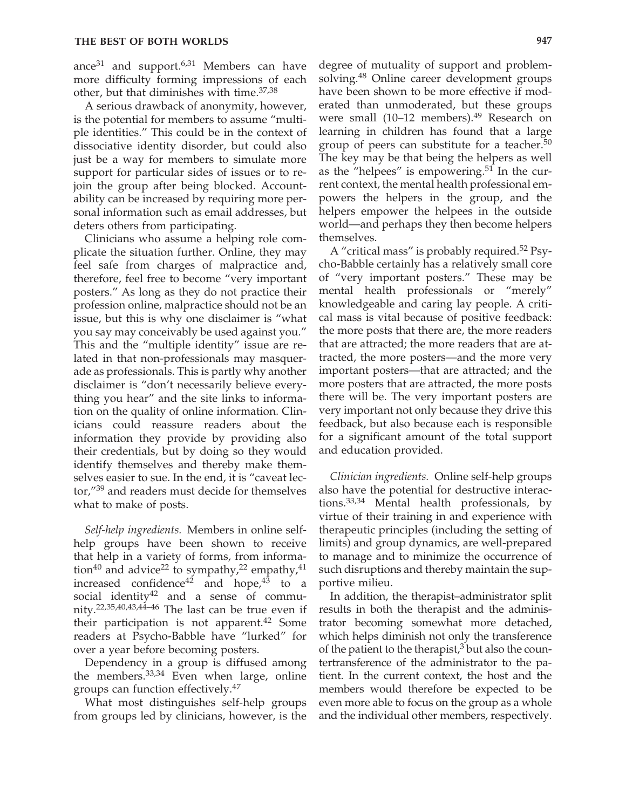ance $31$  and support. $6,31$  Members can have more difficulty forming impressions of each other, but that diminishes with time.37,38

A serious drawback of anonymity, however, is the potential for members to assume "multiple identities." This could be in the context of dissociative identity disorder, but could also just be a way for members to simulate more support for particular sides of issues or to rejoin the group after being blocked. Accountability can be increased by requiring more personal information such as email addresses, but deters others from participating.

Clinicians who assume a helping role complicate the situation further. Online, they may feel safe from charges of malpractice and, therefore, feel free to become "very important posters." As long as they do not practice their profession online, malpractice should not be an issue, but this is why one disclaimer is "what you say may conceivably be used against you." This and the "multiple identity" issue are related in that non-professionals may masquerade as professionals. This is partly why another disclaimer is "don't necessarily believe everything you hear" and the site links to information on the quality of online information. Clinicians could reassure readers about the information they provide by providing also their credentials, but by doing so they would identify themselves and thereby make themselves easier to sue. In the end, it is "caveat lector,"39 and readers must decide for themselves what to make of posts.

*Self-help ingredients.* Members in online selfhelp groups have been shown to receive that help in a variety of forms, from information<sup>40</sup> and advice<sup>22</sup> to sympathy,<sup>22</sup> empathy,<sup>41</sup> increased confidence<sup>42</sup> and hope,<sup>43</sup> to a social identity<sup>42</sup> and a sense of community.22,35,40,43,44–46 The last can be true even if their participation is not apparent. $42$  Some readers at Psycho-Babble have "lurked" for over a year before becoming posters.

Dependency in a group is diffused among the members.  $33,34$  Even when large, online groups can function effectively.<sup>47</sup>

What most distinguishes self-help groups from groups led by clinicians, however, is the degree of mutuality of support and problemsolving.<sup>48</sup> Online career development groups have been shown to be more effective if moderated than unmoderated, but these groups were small  $(10-12$  members).<sup>49</sup> Research on learning in children has found that a large group of peers can substitute for a teacher.<sup>50</sup> The key may be that being the helpers as well as the "helpees" is empowering.<sup>51</sup> In the current context, the mental health professional empowers the helpers in the group, and the helpers empower the helpees in the outside world—and perhaps they then become helpers themselves.

A "critical mass" is probably required.<sup>52</sup> Psycho-Babble certainly has a relatively small core of "very important posters." These may be mental health professionals or "merely" knowledgeable and caring lay people. A critical mass is vital because of positive feedback: the more posts that there are, the more readers that are attracted; the more readers that are attracted, the more posters—and the more very important posters—that are attracted; and the more posters that are attracted, the more posts there will be. The very important posters are very important not only because they drive this feedback, but also because each is responsible for a significant amount of the total support and education provided.

*Clinician ingredients.* Online self-help groups also have the potential for destructive interactions.33,34 Mental health professionals, by virtue of their training in and experience with therapeutic principles (including the setting of limits) and group dynamics, are well-prepared to manage and to minimize the occurrence of such disruptions and thereby maintain the supportive milieu.

In addition, the therapist–administrator split results in both the therapist and the administrator becoming somewhat more detached, which helps diminish not only the transference of the patient to the therapist,<sup>3</sup> but also the countertransference of the administrator to the patient. In the current context, the host and the members would therefore be expected to be even more able to focus on the group as a whole and the individual other members, respectively.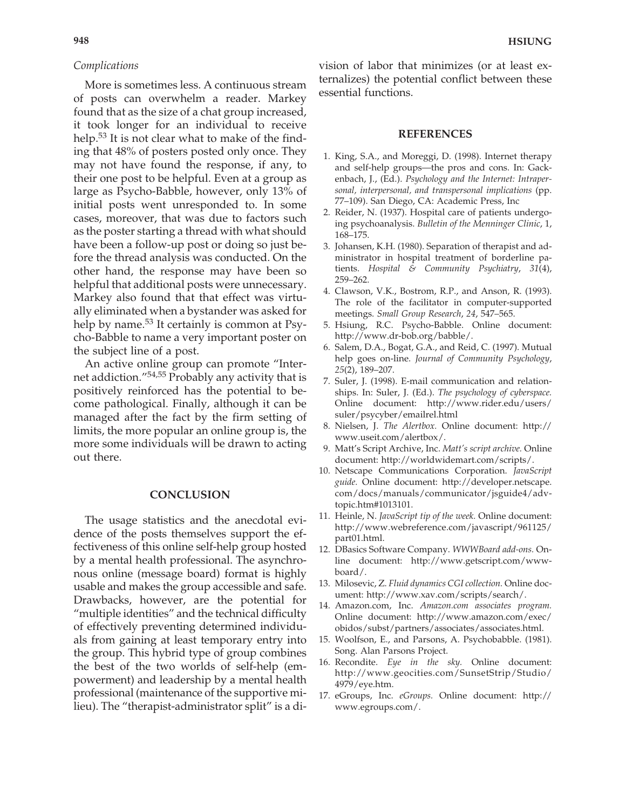# *Complications*

More is sometimes less. A continuous stream of posts can overwhelm a reader. Markey found that as the size of a chat group increased, it took longer for an individual to receive help.<sup>53</sup> It is not clear what to make of the finding that 48% of posters posted only once. They may not have found the response, if any, to their one post to be helpful. Even at a group as large as Psycho-Babble, however, only 13% of initial posts went unresponded to. In some cases, moreover, that was due to factors such as the poster starting a thread with what should have been a follow-up post or doing so just before the thread analysis was conducted. On the other hand, the response may have been so helpful that additional posts were unnecessary. Markey also found that that effect was virtually eliminated when a bystander was asked for help by name.<sup>53</sup> It certainly is common at Psycho-Babble to name a very important poster on the subject line of a post.

An active online group can promote "Internet addiction."54,55 Probably any activity that is positively reinforced has the potential to become pathological. Finally, although it can be managed after the fact by the firm setting of limits, the more popular an online group is, the more some individuals will be drawn to acting out there.

# **CONCLUSION**

The usage statistics and the anecdotal evidence of the posts themselves support the effectiveness of this online self-help group hosted by a mental health professional. The asynchronous online (message board) format is highly usable and makes the group accessible and safe. Drawbacks, however, are the potential for "multiple identities" and the technical difficulty of effectively preventing determined individuals from gaining at least temporary entry into the group. This hybrid type of group combines the best of the two worlds of self-help (empowerment) and leadership by a mental health professional (maintenance of the supportive milieu). The "therapist-administrator split" is a di-

vision of labor that minimizes (or at least externalizes) the potential conflict between these essential functions.

#### **REFERENCES**

- 1. King, S.A., and Moreggi, D. (1998). Internet therapy and self-help groups—the pros and cons. In: Gackenbach, J., (Ed.). *Psychology and the Internet: Intrapersonal, interpersonal, and transpersonal implications* (pp. 77–109). San Diego, CA: Academic Press, Inc
- 2. Reider, N. (1937). Hospital care of patients undergoing psychoanalysis. *Bulletin of the Menninger Clinic*, 1, 168–175.
- 3. Johansen, K.H. (1980). Separation of therapist and administrator in hospital treatment of borderline patients. *Hospital & Community Psychiatry*, *31*(4), 259–262.
- 4. Clawson, V.K., Bostrom, R.P., and Anson, R. (1993). The role of the facilitator in computer-supported meetings. *Small Group Research*, *24*, 547–565.
- 5. Hsiung, R.C. Psycho-Babble. Online document: http://www.dr-bob.org/babble/.
- 6. Salem, D.A., Bogat, G.A., and Reid, C. (1997). Mutual help goes on-line. *Journal of Community Psychology*, *25*(2), 189–207.
- 7. Suler, J. (1998). E-mail communication and relationships. In: Suler, J. (Ed.). *The psychology of cyberspace.* Online document: http://www.rider.edu/users/ suler/psycyber/emailrel.html
- 8. Nielsen, J. *The Alertbox.* Online document: http:// www.useit.com/alertbox/.
- 9. Matt's Script Archive, Inc. *Matt's script archive.* Online document: http://worldwidemart.com/scripts/.
- 10. Netscape Communications Corporation. *JavaScript guide.* Online document: http://developer.netscape. com/docs/manuals/communicator/jsguide4/advtopic.htm#1013101.
- 11. Heinle, N. *JavaScript tip of the week.* Online document: http://www.webreference.com/javascript/961125/ part01.html.
- 12. DBasics Software Company. *WWWBoard add-ons.* Online document: http://www.getscript.com/wwwboard/.
- 13. Milosevic, Z. *Fluid dynamics CGI collection.* Online document: http://www.xav.com/scripts/search/.
- 14. Amazon.com, Inc. *Amazon.com associates program.* Online document: http://www.amazon.com/exec/ obidos/subst/partners/associates/associates.html.
- 15. Woolfson, E., and Parsons, A. Psychobabble. (1981). Song. Alan Parsons Project.
- 16. Recondite. *Eye in the sky.* Online document: http://www.geocities.com/SunsetStrip/Studio/ 4979/eye.htm.
- 17. eGroups, Inc. *eGroups.* Online document: http:// www.egroups.com/.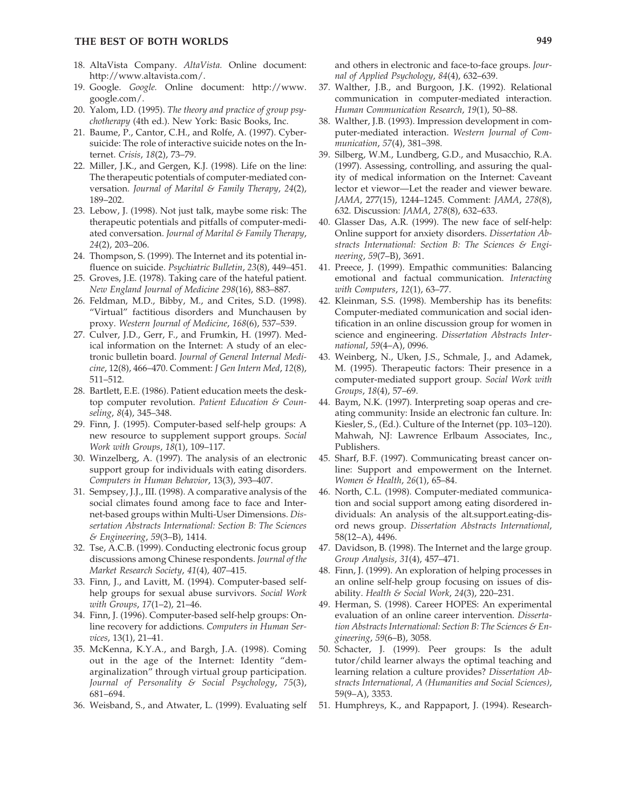# **THE BEST OF BOTH WORLDS 949**

- 18. AltaVista Company. *AltaVista.* Online document: http://www.altavista.com/.
- 19. Google. *Google.* Online document: http://www. google.com/.
- 20. Yalom, I.D. (1995). *The theory and practice of group psychotherapy* (4th ed.). New York: Basic Books, Inc.
- 21. Baume, P., Cantor, C.H., and Rolfe, A. (1997). Cybersuicide: The role of interactive suicide notes on the Internet. *Crisis*, *18*(2), 73–79.
- 22. Miller, J.K., and Gergen, K.J. (1998). Life on the line: The therapeutic potentials of computer-mediated conversation. *Journal of Marital & Family Therapy*, *24*(2), 189–202.
- 23. Lebow, J. (1998). Not just talk, maybe some risk: The therapeutic potentials and pitfalls of computer-mediated conversation. *Journal of Marital & Family Therapy*, *24*(2), 203–206.
- 24. Thompson, S. (1999). The Internet and its potential influence on suicide. *Psychiatric Bulletin*, *23*(8), 449–451.
- 25. Groves, J.E. (1978). Taking care of the hateful patient. *New England Journal of Medicine 298*(16), 883–887.
- 26. Feldman, M.D., Bibby, M., and Crites, S.D. (1998). "Virtual" factitious disorders and Munchausen by proxy. *Western Journal of Medicine*, *168*(6), 537–539.
- 27. Culver, J.D., Gerr, F., and Frumkin, H. (1997). Medical information on the Internet: A study of an electronic bulletin board. *Journal of General Internal Medicine*, 12(8), 466–470. Comment: *J Gen Intern Med*, *12*(8), 511–512.
- 28. Bartlett, E.E. (1986). Patient education meets the desktop computer revolution. *Patient Education & Counseling*, *8*(4), 345–348.
- 29. Finn, J. (1995). Computer-based self-help groups: A new resource to supplement support groups. *Social Work with Groups*, *18*(1), 109–117.
- 30. Winzelberg, A. (1997). The analysis of an electronic support group for individuals with eating disorders. *Computers in Human Behavior*, 13(3), 393–407.
- 31. Sempsey, J.J., III. (1998). A comparative analysis of the social climates found among face to face and Internet-based groups within Multi-User Dimensions. *Dissertation Abstracts International: Section B: The Sciences & Engineering*, *59*(3–B), 1414.
- 32. Tse, A.C.B. (1999). Conducting electronic focus group discussions among Chinese respondents. *Journal of the Market Research Society*, *41*(4), 407–415.
- 33. Finn, J., and Lavitt, M. (1994). Computer-based selfhelp groups for sexual abuse survivors. *Social Work with Groups*, *17*(1–2), 21–46.
- 34. Finn, J. (1996). Computer-based self-help groups: Online recovery for addictions. *Computers in Human Services*, 13(1), 21–41.
- 35. McKenna, K.Y.A., and Bargh, J.A. (1998). Coming out in the age of the Internet: Identity "demarginalization" through virtual group participation. *Journal of Personality & Social Psychology*, *75*(3), 681–694.
- 36. Weisband, S., and Atwater, L. (1999). Evaluating self

and others in electronic and face-to-face groups. *Journal of Applied Psychology*, *84*(4), 632–639.

- 37. Walther, J.B., and Burgoon, J.K. (1992). Relational communication in computer-mediated interaction. *Human Communication Research*, *19*(1), 50–88.
- 38. Walther, J.B. (1993). Impression development in computer-mediated interaction. *Western Journal of Communication*, *57*(4), 381–398.
- 39. Silberg, W.M., Lundberg, G.D., and Musacchio, R.A. (1997). Assessing, controlling, and assuring the quality of medical information on the Internet: Caveant lector et viewor—Let the reader and viewer beware. *JAMA*, 277(15), 1244–1245. Comment: *JAMA*, *278*(8), 632. Discussion: *JAMA*, *278*(8), 632–633.
- 40. Glasser Das, A.R. (1999). The new face of self-help: Online support for anxiety disorders. *Dissertation Abstracts International: Section B: The Sciences & Engineering*, *59*(7–B), 3691.
- 41. Preece, J. (1999). Empathic communities: Balancing emotional and factual communication. *Interacting with Computers*, *12*(1), 63–77.
- 42. Kleinman, S.S. (1998). Membership has its benefits: Computer-mediated communication and social identification in an online discussion group for women in science and engineering. *Dissertation Abstracts International*, *59*(4–A), 0996.
- 43. Weinberg, N., Uken, J.S., Schmale, J., and Adamek, M. (1995). Therapeutic factors: Their presence in a computer-mediated support group. *Social Work with Groups*, *18*(4), 57–69.
- 44. Baym, N.K. (1997). Interpreting soap operas and creating community: Inside an electronic fan culture. In: Kiesler, S., (Ed.). Culture of the Internet (pp. 103–120). Mahwah, NJ: Lawrence Erlbaum Associates, Inc., Publishers.
- 45. Sharf, B.F. (1997). Communicating breast cancer online: Support and empowerment on the Internet. *Women & Health*, *26*(1), 65–84.
- 46. North, C.L. (1998). Computer-mediated communication and social support among eating disordered individuals: An analysis of the alt.support.eating-disord news group. *Dissertation Abstracts International*, 58(12–A), 4496.
- 47. Davidson, B. (1998). The Internet and the large group. *Group Analysis*, *31*(4), 457–471.
- 48. Finn, J. (1999). An exploration of helping processes in an online self-help group focusing on issues of disability. *Health & Social Work*, *24*(3), 220–231.
- 49. Herman, S. (1998). Career HOPES: An experimental evaluation of an online career intervention. *Dissertation Abstracts International: Section B: The Sciences & Engineering*, *59*(6–B), 3058.
- 50. Schacter, J. (1999). Peer groups: Is the adult tutor/child learner always the optimal teaching and learning relation a culture provides? *Dissertation Abstracts International, A (Humanities and Social Sciences)*, 59(9–A), 3353.
- 51. Humphreys, K., and Rappaport, J. (1994). Research-